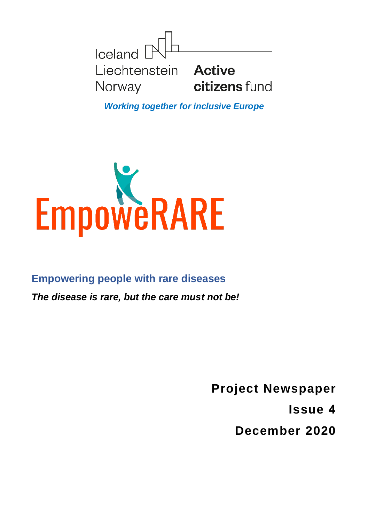

*Working together for inclusive Europe*



**Empowering people with rare diseases**

*The disease is rare, but the care must not be!*

**Project Newspaper** 

**Issue 4**

**December 2020**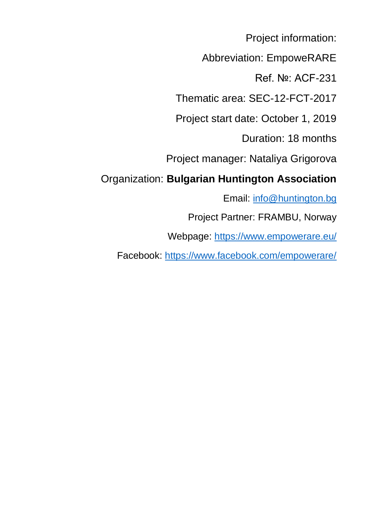Project information:

Abbreviation: EmpoweRARE

Ref. №: ACF-231

Thematic area: SEC-12-FCT-2017

Project start date: October 1, 2019

Duration: 18 months

Project manager: Nataliya Grigorova

### Organization: **Bulgarian Huntington Association**

Email: [info@huntington.bg](mailto:info@huntington.bg)

Project Partner: FRAMBU, Norway

Webpage:<https://www.empowerare.eu/>

Facebook:<https://www.facebook.com/empowerare/>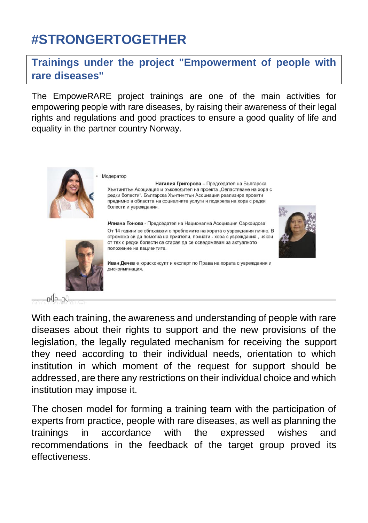# **#STRONGERTOGETHER**

#### **Trainings under the project "Empowerment of people with rare diseases"**

The EmpoweRARE project trainings are one of the main activities for empowering people with rare diseases, by raising their awareness of their legal rights and regulations and good practices to ensure a good quality of life and equality in the partner country Norway.



Модератор

Наталия Григорова - Председател на Българска Хънтингтън Асоциация и ръководител на проекта "Овластяване на хора с редки болести". Българска Хънтингтън Асоциация реализира проекти предимно в областта на социалните услуги и подкрепа на хора с редки болести и увреждания.

Илиана Тонова - Председател на Национална Асоциация Саркоидоза От 14 години се сблъсквам с проблемите на хората с увреждания лично. В стремежа си да помогна на приятели, познати - хора с увреждания, някои от тях с редки болести се старая да се осведомявам за актуалното положение на пациентите.





n dh

With each training, the awareness and understanding of people with rare diseases about their rights to support and the new provisions of the legislation, the legally regulated mechanism for receiving the support they need according to their individual needs, orientation to which institution in which moment of the request for support should be addressed, are there any restrictions on their individual choice and which institution may impose it.

The chosen model for forming a training team with the participation of experts from practice, people with rare diseases, as well as planning the trainings in accordance with the expressed wishes and recommendations in the feedback of the target group proved its effectiveness.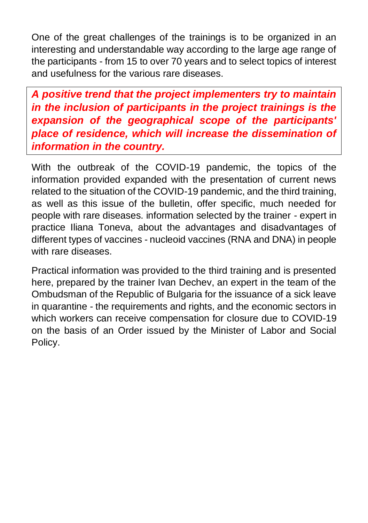One of the great challenges of the trainings is to be organized in an interesting and understandable way according to the large age range of the participants - from 15 to over 70 years and to select topics of interest and usefulness for the various rare diseases.

*A positive trend that the project implementers try to maintain in the inclusion of participants in the project trainings is the expansion of the geographical scope of the participants' place of residence, which will increase the dissemination of information in the country.*

With the outbreak of the COVID-19 pandemic, the topics of the information provided expanded with the presentation of current news related to the situation of the COVID-19 pandemic, and the third training, as well as this issue of the bulletin, offer specific, much needed for people with rare diseases. information selected by the trainer - expert in practice Iliana Toneva, about the advantages and disadvantages of different types of vaccines - nucleoid vaccines (RNA and DNA) in people with rare diseases.

Practical information was provided to the third training and is presented here, prepared by the trainer Ivan Dechev, an expert in the team of the Ombudsman of the Republic of Bulgaria for the issuance of a sick leave in quarantine - the requirements and rights, and the economic sectors in which workers can receive compensation for closure due to COVID-19 on the basis of an Order issued by the Minister of Labor and Social Policy.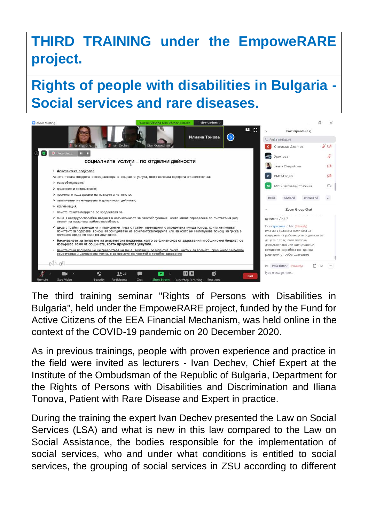# **THIRD TRAINING under the EmpoweRARE project.**

**Rights of people with disabilities in Bulgaria - Social services and rare diseases.**



The third training seminar "Rights of Persons with Disabilities in Bulgaria", held under the EmpoweRARE project, funded by the Fund for Active Citizens of the EEA Financial Mechanism, was held online in the context of the COVID-19 pandemic on 20 December 2020.

As in previous trainings, people with proven experience and practice in the field were invited as lecturers - Ivan Dechev, Chief Expert at the Institute of the Ombudsman of the Republic of Bulgaria, Department for the Rights of Persons with Disabilities and Discrimination and Iliana Tonova, Patient with Rare Disease and Expert in practice.

During the training the expert Ivan Dechev presented the Law on Social Services (LSA) and what is new in this law compared to the Law on Social Assistance, the bodies responsible for the implementation of social services, who and under what conditions is entitled to social services, the grouping of social services in ZSU according to different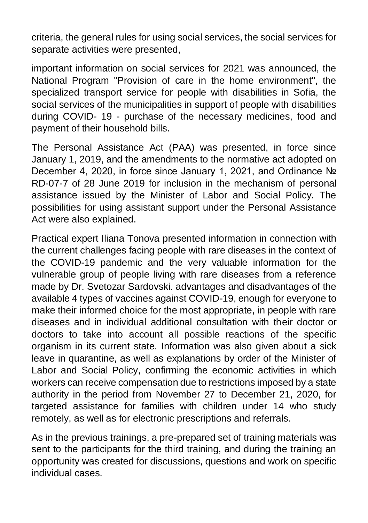criteria, the general rules for using social services, the social services for separate activities were presented,

important information on social services for 2021 was announced, the National Program "Provision of care in the home environment", the specialized transport service for people with disabilities in Sofia, the social services of the municipalities in support of people with disabilities during COVID- 19 - purchase of the necessary medicines, food and payment of their household bills.

The Personal Assistance Act (PAA) was presented, in force since January 1, 2019, and the amendments to the normative act adopted on December 4, 2020, in force since January 1, 2021, and Ordinance № RD-07-7 of 28 June 2019 for inclusion in the mechanism of personal assistance issued by the Minister of Labor and Social Policy. The possibilities for using assistant support under the Personal Assistance Act were also explained.

Practical expert Iliana Tonova presented information in connection with the current challenges facing people with rare diseases in the context of the COVID-19 pandemic and the very valuable information for the vulnerable group of people living with rare diseases from a reference made by Dr. Svetozar Sardovski. advantages and disadvantages of the available 4 types of vaccines against COVID-19, enough for everyone to make their informed choice for the most appropriate, in people with rare diseases and in individual additional consultation with their doctor or doctors to take into account all possible reactions of the specific organism in its current state. Information was also given about a sick leave in quarantine, as well as explanations by order of the Minister of Labor and Social Policy, confirming the economic activities in which workers can receive compensation due to restrictions imposed by a state authority in the period from November 27 to December 21, 2020, for targeted assistance for families with children under 14 who study remotely, as well as for electronic prescriptions and referrals.

As in the previous trainings, a pre-prepared set of training materials was sent to the participants for the third training, and during the training an opportunity was created for discussions, questions and work on specific individual cases.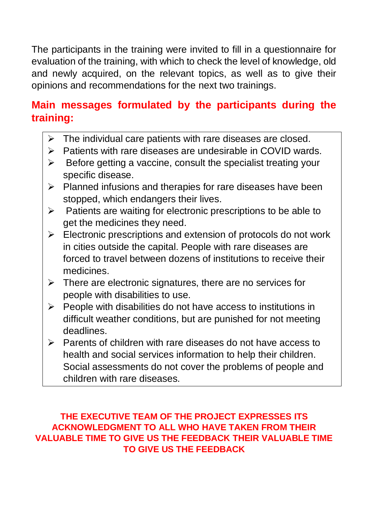The participants in the training were invited to fill in a questionnaire for evaluation of the training, with which to check the level of knowledge, old and newly acquired, on the relevant topics, as well as to give their opinions and recommendations for the next two trainings.

### **Main messages formulated by the participants during the training:**

- The individual care patients with rare diseases are closed.
- ➢ Patients with rare diseases are undesirable in COVID wards.
- $\triangleright$  Before getting a vaccine, consult the specialist treating your specific disease.
- ➢ Planned infusions and therapies for rare diseases have been stopped, which endangers their lives.
- $\triangleright$  Patients are waiting for electronic prescriptions to be able to get the medicines they need.
- $\triangleright$  Electronic prescriptions and extension of protocols do not work in cities outside the capital. People with rare diseases are forced to travel between dozens of institutions to receive their medicines.
- $\triangleright$  There are electronic signatures, there are no services for people with disabilities to use.
- $\triangleright$  People with disabilities do not have access to institutions in difficult weather conditions, but are punished for not meeting deadlines.
- ➢ Parents of children with rare diseases do not have access to health and social services information to help their children. Social assessments do not cover the problems of people and children with rare diseases.

#### **THE EXECUTIVE TEAM OF THE PROJECT EXPRESSES ITS ACKNOWLEDGMENT TO ALL WHO HAVE TAKEN FROM THEIR VALUABLE TIME TO GIVE US THE FEEDBACK THEIR VALUABLE TIME TO GIVE US THE FEEDBACK**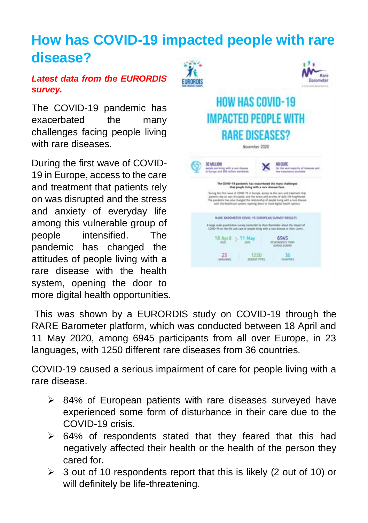# **How has COVID-19 impacted people with rare disease?**

#### *Latest data from the EURORDIS survey.*

The COVID-19 pandemic has exacerbated the many challenges facing people living with rare diseases.

During the first wave of COVID-19 in Europe, access to the care and treatment that patients rely on was disrupted and the stress and anxiety of everyday life among this vulnerable group of people intensified. The pandemic has changed the attitudes of people living with a rare disease with the health system, opening the door to more digital health opportunities.



This was shown by a EURORDIS study on COVID-19 through the RARE Barometer platform, which was conducted between 18 April and 11 May 2020, among 6945 participants from all over Europe, in 23 languages, with 1250 different rare diseases from 36 countries.

COVID-19 caused a serious impairment of care for people living with a rare disease.

- ➢ 84% of European patients with rare diseases surveyed have experienced some form of disturbance in their care due to the COVID-19 crisis.
- ➢ 64% of respondents stated that they feared that this had negatively affected their health or the health of the person they cared for.
- ➢ 3 out of 10 respondents report that this is likely (2 out of 10) or will definitely be life-threatening.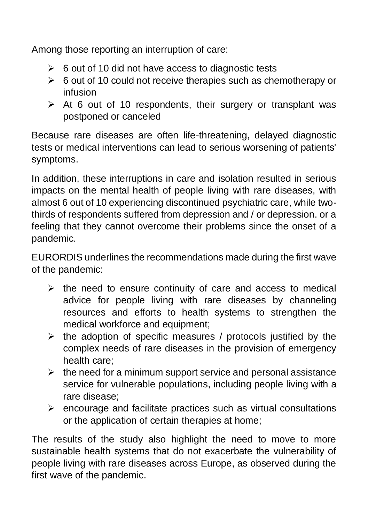Among those reporting an interruption of care:

- $\geq 6$  out of 10 did not have access to diagnostic tests
- ➢ 6 out of 10 could not receive therapies such as chemotherapy or infusion
- ➢ At 6 out of 10 respondents, their surgery or transplant was postponed or canceled

Because rare diseases are often life-threatening, delayed diagnostic tests or medical interventions can lead to serious worsening of patients' symptoms.

In addition, these interruptions in care and isolation resulted in serious impacts on the mental health of people living with rare diseases, with almost 6 out of 10 experiencing discontinued psychiatric care, while twothirds of respondents suffered from depression and / or depression. or a feeling that they cannot overcome their problems since the onset of a pandemic.

EURORDIS underlines the recommendations made during the first wave of the pandemic:

- ➢ the need to ensure continuity of care and access to medical advice for people living with rare diseases by channeling resources and efforts to health systems to strengthen the medical workforce and equipment;
- $\triangleright$  the adoption of specific measures / protocols justified by the complex needs of rare diseases in the provision of emergency health care;
- $\triangleright$  the need for a minimum support service and personal assistance service for vulnerable populations, including people living with a rare disease;
- $\triangleright$  encourage and facilitate practices such as virtual consultations or the application of certain therapies at home;

The results of the study also highlight the need to move to more sustainable health systems that do not exacerbate the vulnerability of people living with rare diseases across Europe, as observed during the first wave of the pandemic.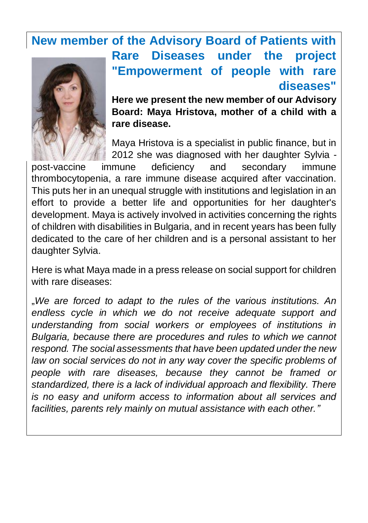## **New member of the Advisory Board of Patients with Rare Diseases under the project "Empowerment of people with rare**



**diseases" Here we present the new member of our Advisory Board: Maya Hristova, mother of a child with a rare disease.** 

Maya Hristova is a specialist in public finance, but in 2012 she was diagnosed with her daughter Sylvia -

post-vaccine immune deficiency and secondary immune thrombocytopenia, a rare immune disease acquired after vaccination. This puts her in an unequal struggle with institutions and legislation in an effort to provide a better life and opportunities for her daughter's development. Maya is actively involved in activities concerning the rights of children with disabilities in Bulgaria, and in recent years has been fully dedicated to the care of her children and is a personal assistant to her daughter Sylvia.

Here is what Maya made in a press release on social support for children with rare diseases:

"*We are forced to adapt to the rules of the various institutions. An endless cycle in which we do not receive adequate support and understanding from social workers or employees of institutions in Bulgaria, because there are procedures and rules to which we cannot respond. The social assessments that have been updated under the new law on social services do not in any way cover the specific problems of people with rare diseases, because they cannot be framed or standardized, there is a lack of individual approach and flexibility. There is no easy and uniform access to information about all services and facilities, parents rely mainly on mutual assistance with each other."*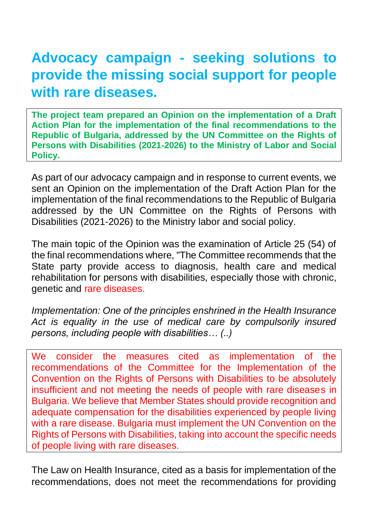# **Advocacy campaign - seeking solutions to provide the missing social support for people with rare diseases.**

**The project team prepared an Opinion on the implementation of a Draft Action Plan for the implementation of the final recommendations to the Republic of Bulgaria, addressed by the UN Committee on the Rights of Persons with Disabilities (2021-2026) to the Ministry of Labor and Social Policy.**

As part of our advocacy campaign and in response to current events, we sent an Opinion on the implementation of the Draft Action Plan for the implementation of the final recommendations to the Republic of Bulgaria addressed by the UN Committee on the Rights of Persons with Disabilities (2021-2026) to the Ministry labor and social policy.

The main topic of the Opinion was the examination of Article 25 (54) of the final recommendations where, "The Committee recommends that the State party provide access to diagnosis, health care and medical rehabilitation for persons with disabilities, especially those with chronic, genetic and rare diseases.

*Implementation: One of the principles enshrined in the Health Insurance Act is equality in the use of medical care by compulsorily insured persons, including people with disabilities… (..)*

We consider the measures cited as implementation of the recommendations of the Committee for the Implementation of the Convention on the Rights of Persons with Disabilities to be absolutely insufficient and not meeting the needs of people with rare diseases in Bulgaria. We believe that Member States should provide recognition and adequate compensation for the disabilities experienced by people living with a rare disease. Bulgaria must implement the UN Convention on the Rights of Persons with Disabilities, taking into account the specific needs of people living with rare diseases.

The Law on Health Insurance, cited as a basis for implementation of the recommendations, does not meet the recommendations for providing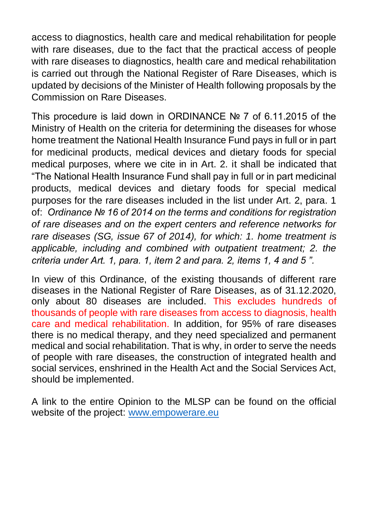access to diagnostics, health care and medical rehabilitation for people with rare diseases, due to the fact that the practical access of people with rare diseases to diagnostics, health care and medical rehabilitation is carried out through the National Register of Rare Diseases, which is updated by decisions of the Minister of Health following proposals by the Commission on Rare Diseases.

This procedure is laid down in ORDINANCE № 7 of 6.11.2015 of the Ministry of Health on the criteria for determining the diseases for whose home treatment the National Health Insurance Fund pays in full or in part for medicinal products, medical devices and dietary foods for special medical purposes, where we cite in in Art. 2. it shall be indicated that "The National Health Insurance Fund shall pay in full or in part medicinal products, medical devices and dietary foods for special medical purposes for the rare diseases included in the list under Art. 2, para. 1 of: *Ordinance № 16 of 2014 on the terms and conditions for registration of rare diseases and on the expert centers and reference networks for rare diseases (SG, issue 67 of 2014), for which: 1. home treatment is applicable, including and combined with outpatient treatment; 2. the criteria under Art. 1, para. 1, item 2 and para. 2, items 1, 4 and 5 ".*

In view of this Ordinance, of the existing thousands of different rare diseases in the National Register of Rare Diseases, as of 31.12.2020, only about 80 diseases are included. This excludes hundreds of thousands of people with rare diseases from access to diagnosis, health care and medical rehabilitation. In addition, for 95% of rare diseases there is no medical therapy, and they need specialized and permanent medical and social rehabilitation. That is why, in order to serve the needs of people with rare diseases, the construction of integrated health and social services, enshrined in the Health Act and the Social Services Act, should be implemented.

A link to the entire Opinion to the MLSP can be found on the official website of the project: [www.empowerare.eu](http://www.empowerare.eu/)